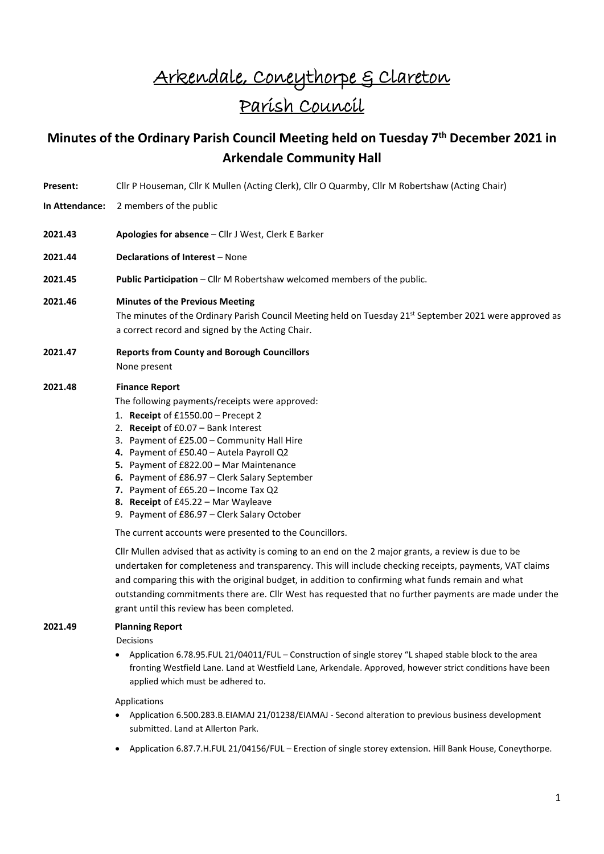## Arkendale, Coneythorpe & Clareton Parish Council

## **Minutes of the Ordinary Parish Council Meeting held on Tuesday 7th December 2021 in Arkendale Community Hall**

- **Present:** Cllr P Houseman, Cllr K Mullen (Acting Clerk), Cllr O Quarmby, Cllr M Robertshaw (Acting Chair)
- **In Attendance:** 2 members of the public
- **2021.43 Apologies for absence** Cllr J West, Clerk E Barker
- **2021.44 Declarations of Interest** None
- **2021.45 Public Participation** Cllr M Robertshaw welcomed members of the public.
- **2021.46 Minutes of the Previous Meeting**

The minutes of the Ordinary Parish Council Meeting held on Tuesday 21<sup>st</sup> September 2021 were approved as a correct record and signed by the Acting Chair.

**2021.47 Reports from County and Borough Councillors** None present

## **2021.48 Finance Report**

The following payments/receipts were approved:

- 1. **Receipt** of £1550.00 Precept 2
- 2. **Receipt** of £0.07 Bank Interest
- 3. Payment of £25.00 Community Hall Hire
- **4.** Payment of £50.40 Autela Payroll Q2
- **5.** Payment of £822.00 Mar Maintenance
- **6.** Payment of £86.97 Clerk Salary September
- **7.** Payment of £65.20 Income Tax Q2
- **8. Receipt** of £45.22 Mar Wayleave
- 9. Payment of £86.97 Clerk Salary October

The current accounts were presented to the Councillors.

Cllr Mullen advised that as activity is coming to an end on the 2 major grants, a review is due to be undertaken for completeness and transparency. This will include checking receipts, payments, VAT claims and comparing this with the original budget, in addition to confirming what funds remain and what outstanding commitments there are. Cllr West has requested that no further payments are made under the grant until this review has been completed.

## **2021.49 Planning Report**

Decisions

• Application 6.78.95.FUL 21/04011/FUL – Construction of single storey "L shaped stable block to the area fronting Westfield Lane. Land at Westfield Lane, Arkendale. Approved, however strict conditions have been applied which must be adhered to.

Applications

- Application 6.500.283.B.EIAMAJ 21/01238/EIAMAJ Second alteration to previous business development submitted. Land at Allerton Park.
- Application 6.87.7.H.FUL 21/04156/FUL Erection of single storey extension. Hill Bank House, Coneythorpe.